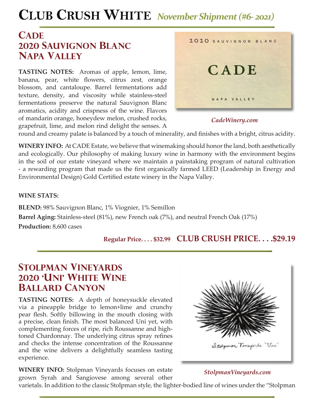# **CLUB CRUSH WHITE** *November Shipment (#6- 2021)*

## **CADE 2020 sauvignon blanc napa valley**

**TASTING NOTES:** Aromas of apple, lemon, lime, banana, pear, white flowers, citrus zest, orange blossom, and cantaloupe. Barrel fermentations add texture, density, and viscosity while stainless-steel fermentations preserve the natural Sauvignon Blanc aromatics, acidity and crispness of the wine. Flavors of mandarin orange, honeydew melon, crushed rocks, grapefruit, lime, and melon rind delight the senses. A



#### *CadeWinery.com*

round and creamy palate is balanced by a touch of minerality, and finishes with a bright, citrus acidity.

**WINERY INFO:** At CADE Estate, we believe that winemaking should honor the land, both aesthetically and ecologically. Our philosophy of making luxury wine in harmony with the environment begins in the soil of our estate vineyard where we maintain a painstaking program of natural cultivation - a rewarding program that made us the first organically farmed LEED (Leadership in Energy and Environmental Design) Gold Certified estate winery in the Napa Valley.

#### **WINE STATS:**

**BLEND:** 98% Sauvignon Blanc, 1% Viognier, 1% Semillon **Barrel Aging:** Stainless-steel (81%), new French oak (7%), and neutral French Oak (17%) **Production:** 8,600 cases

**Regular Price. . . . \$32.99 CLUB CRUSH PRICE. . . .\$29.19**

## **stolpman vineyards 2020 'uni' white wine ballard canyon**

**TASTING NOTES:** A depth of honeysuckle elevated via a pineapple bridge to lemon+lime and crunchy pear flesh. Softly billowing in the mouth closing with a precise, clean finish. The most balanced Uni yet, with complementing forces of ripe, rich Roussanne and hightoned Chardonnay. The underlying citrus spray refines and checks the intense concentration of the Roussanne and the wine delivers a delightfully seamless tasting experience.

**WINERY INFO:** Stolpman Vineyards focuses on estate grown Syrah and Sangiovese among several other



### *StolpmanVineyards.com*

varietals. In addition to the classic Stolpman style, the lighter-bodied line of wines under the "Stolpman